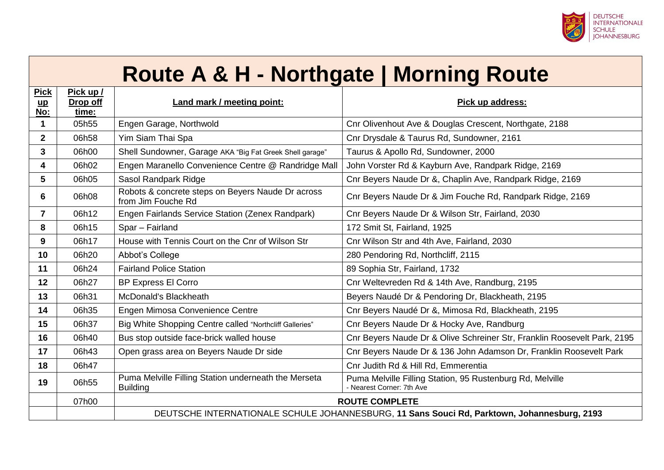

#### **Route A & H - Northgate | Morning Route**

| <b>Pick</b>         | Pick up /         |                                                                                             |                                                                                        |
|---------------------|-------------------|---------------------------------------------------------------------------------------------|----------------------------------------------------------------------------------------|
| $\mathbf{u}$<br>No: | Drop off<br>time: | Land mark / meeting point:                                                                  | Pick up address:                                                                       |
| 1                   | 05h55             | Engen Garage, Northwold                                                                     | Cnr Olivenhout Ave & Douglas Crescent, Northgate, 2188                                 |
| $\overline{2}$      | 06h58             | Yim Siam Thai Spa                                                                           | Cnr Drysdale & Taurus Rd, Sundowner, 2161                                              |
| 3                   | 06h00             | Shell Sundowner, Garage AKA "Big Fat Greek Shell garage"                                    | Taurus & Apollo Rd, Sundowner, 2000                                                    |
| 4                   | 06h02             | Engen Maranello Convenience Centre @ Randridge Mall                                         | John Vorster Rd & Kayburn Ave, Randpark Ridge, 2169                                    |
| 5                   | 06h05             | Sasol Randpark Ridge                                                                        | Cnr Beyers Naude Dr &, Chaplin Ave, Randpark Ridge, 2169                               |
| 6                   | 06h08             | Robots & concrete steps on Beyers Naude Dr across<br>from Jim Fouche Rd                     | Cnr Beyers Naude Dr & Jim Fouche Rd, Randpark Ridge, 2169                              |
| $\overline{7}$      | 06h12             | Engen Fairlands Service Station (Zenex Randpark)                                            | Cnr Beyers Naude Dr & Wilson Str, Fairland, 2030                                       |
| 8                   | 06h15             | Spar - Fairland                                                                             | 172 Smit St, Fairland, 1925                                                            |
| 9                   | 06h17             | House with Tennis Court on the Cnr of Wilson Str                                            | Cnr Wilson Str and 4th Ave, Fairland, 2030                                             |
| 10                  | 06h20             | Abbot's College                                                                             | 280 Pendoring Rd, Northcliff, 2115                                                     |
| 11                  | 06h24             | <b>Fairland Police Station</b>                                                              | 89 Sophia Str, Fairland, 1732                                                          |
| 12                  | 06h27             | <b>BP Express El Corro</b>                                                                  | Cnr Weltevreden Rd & 14th Ave, Randburg, 2195                                          |
| 13                  | 06h31             | McDonald's Blackheath                                                                       | Beyers Naudé Dr & Pendoring Dr, Blackheath, 2195                                       |
| 14                  | 06h35             | Engen Mimosa Convenience Centre                                                             | Cnr Beyers Naudé Dr &, Mimosa Rd, Blackheath, 2195                                     |
| 15                  | 06h37             | Big White Shopping Centre called "Northcliff Galleries"                                     | Cnr Beyers Naude Dr & Hocky Ave, Randburg                                              |
| 16                  | 06h40             | Bus stop outside face-brick walled house                                                    | Cnr Beyers Naude Dr & Olive Schreiner Str, Franklin Roosevelt Park, 2195               |
| 17                  | 06h43             | Open grass area on Beyers Naude Dr side                                                     | Cnr Beyers Naude Dr & 136 John Adamson Dr, Franklin Roosevelt Park                     |
| 18                  | 06h47             |                                                                                             | Cnr Judith Rd & Hill Rd, Emmerentia                                                    |
| 19                  | 06h55             | Puma Melville Filling Station underneath the Merseta<br><b>Building</b>                     | Puma Melville Filling Station, 95 Rustenburg Rd, Melville<br>- Nearest Corner: 7th Ave |
|                     | 07h00             |                                                                                             | <b>ROUTE COMPLETE</b>                                                                  |
|                     |                   | DEUTSCHE INTERNATIONALE SCHULE JOHANNESBURG, 11 Sans Souci Rd, Parktown, Johannesburg, 2193 |                                                                                        |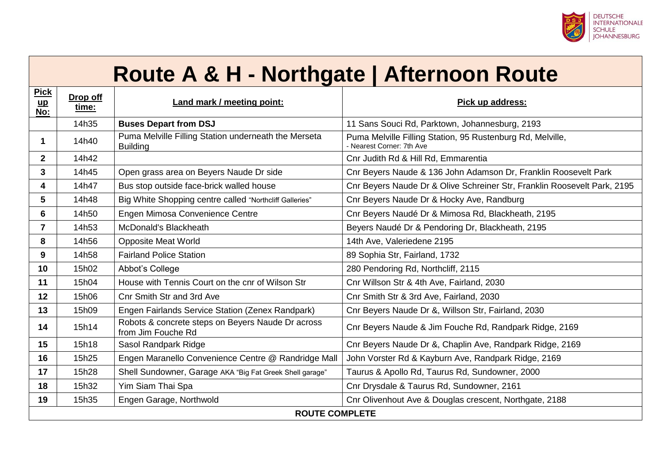

### **Route A & H - Northgate | Afternoon Route**

| <b>Pick</b><br>$\mathbf{u}$<br>No: | Drop off<br>time:     | Land mark / meeting point:                                              | Pick up address:                                                                        |  |
|------------------------------------|-----------------------|-------------------------------------------------------------------------|-----------------------------------------------------------------------------------------|--|
|                                    | 14h35                 | <b>Buses Depart from DSJ</b>                                            | 11 Sans Souci Rd, Parktown, Johannesburg, 2193                                          |  |
| 1                                  | 14h40                 | Puma Melville Filling Station underneath the Merseta<br><b>Building</b> | Puma Melville Filling Station, 95 Rustenburg Rd, Melville,<br>- Nearest Corner: 7th Ave |  |
| 2 <sup>1</sup>                     | 14h42                 |                                                                         | Cnr Judith Rd & Hill Rd, Emmarentia                                                     |  |
| 3                                  | 14h45                 | Open grass area on Beyers Naude Dr side                                 | Cnr Beyers Naude & 136 John Adamson Dr, Franklin Roosevelt Park                         |  |
| 4                                  | 14h47                 | Bus stop outside face-brick walled house                                | Cnr Beyers Naude Dr & Olive Schreiner Str, Franklin Roosevelt Park, 2195                |  |
| $5\phantom{.0}$                    | 14h48                 | Big White Shopping centre called "Northcliff Galleries"                 | Cnr Beyers Naude Dr & Hocky Ave, Randburg                                               |  |
| 6                                  | 14h50                 | Engen Mimosa Convenience Centre                                         | Cnr Beyers Naudé Dr & Mimosa Rd, Blackheath, 2195                                       |  |
| $\overline{7}$                     | 14h53                 | McDonald's Blackheath                                                   | Beyers Naudé Dr & Pendoring Dr, Blackheath, 2195                                        |  |
| 8                                  | 14h56                 | <b>Opposite Meat World</b>                                              | 14th Ave, Valeriedene 2195                                                              |  |
| 9                                  | 14h58                 | <b>Fairland Police Station</b>                                          | 89 Sophia Str, Fairland, 1732                                                           |  |
| 10                                 | 15h02                 | Abbot's College                                                         | 280 Pendoring Rd, Northcliff, 2115                                                      |  |
| 11                                 | 15h04                 | House with Tennis Court on the cnr of Wilson Str                        | Cnr Willson Str & 4th Ave, Fairland, 2030                                               |  |
| 12                                 | 15h06                 | <b>Cnr Smith Str and 3rd Ave</b>                                        | Cnr Smith Str & 3rd Ave, Fairland, 2030                                                 |  |
| 13                                 | 15h09                 | Engen Fairlands Service Station (Zenex Randpark)                        | Cnr Beyers Naude Dr &, Willson Str, Fairland, 2030                                      |  |
| 14                                 | 15h14                 | Robots & concrete steps on Beyers Naude Dr across<br>from Jim Fouche Rd | Cnr Beyers Naude & Jim Fouche Rd, Randpark Ridge, 2169                                  |  |
| 15                                 | 15h18                 | Sasol Randpark Ridge                                                    | Cnr Beyers Naude Dr &, Chaplin Ave, Randpark Ridge, 2169                                |  |
| 16                                 | 15h25                 | Engen Maranello Convenience Centre @ Randridge Mall                     | John Vorster Rd & Kayburn Ave, Randpark Ridge, 2169                                     |  |
| 17                                 | 15h28                 | Shell Sundowner, Garage AKA "Big Fat Greek Shell garage"                | Taurus & Apollo Rd, Taurus Rd, Sundowner, 2000                                          |  |
| 18                                 | 15h32                 | Yim Siam Thai Spa                                                       | Cnr Drysdale & Taurus Rd, Sundowner, 2161                                               |  |
| 19                                 | 15h35                 | Engen Garage, Northwold                                                 | Cnr Olivenhout Ave & Douglas crescent, Northgate, 2188                                  |  |
|                                    | <b>ROUTE COMPLETE</b> |                                                                         |                                                                                         |  |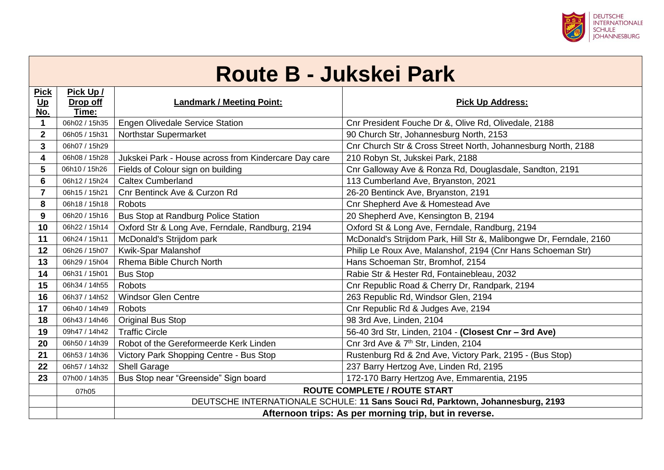

# **Route B - Jukskei Park**

| <b>Pick</b>     | Pick Up /         |                                                       |                                                                                |  |
|-----------------|-------------------|-------------------------------------------------------|--------------------------------------------------------------------------------|--|
| $Up$<br>No.     | Drop off<br>Time: | <b>Landmark / Meeting Point:</b>                      | <b>Pick Up Address:</b>                                                        |  |
| 1               | 06h02 / 15h35     | Engen Olivedale Service Station                       | Cnr President Fouche Dr &, Olive Rd, Olivedale, 2188                           |  |
| $\overline{2}$  | 06h05 / 15h31     | Northstar Supermarket                                 | 90 Church Str, Johannesburg North, 2153                                        |  |
| 3               | 06h07 / 15h29     |                                                       | Cnr Church Str & Cross Street North, Johannesburg North, 2188                  |  |
| 4               | 06h08 / 15h28     | Jukskei Park - House across from Kindercare Day care  | 210 Robyn St, Jukskei Park, 2188                                               |  |
| $5\phantom{.0}$ | 06h10 / 15h26     | Fields of Colour sign on building                     | Cnr Galloway Ave & Ronza Rd, Douglasdale, Sandton, 2191                        |  |
| 6               | 06h12 / 15h24     | <b>Caltex Cumberland</b>                              | 113 Cumberland Ave, Bryanston, 2021                                            |  |
| $\overline{7}$  | 06h15 / 15h21     | Cnr Bentinck Ave & Curzon Rd                          | 26-20 Bentinck Ave, Bryanston, 2191                                            |  |
| 8               | 06h18 / 15h18     | <b>Robots</b>                                         | Cnr Shepherd Ave & Homestead Ave                                               |  |
| 9               | 06h20 / 15h16     | Bus Stop at Randburg Police Station                   | 20 Shepherd Ave, Kensington B, 2194                                            |  |
| 10              | 06h22 / 15h14     | Oxford Str & Long Ave, Ferndale, Randburg, 2194       | Oxford St & Long Ave, Ferndale, Randburg, 2194                                 |  |
| 11              | 06h24 / 15h11     | McDonald's Strijdom park                              | McDonald's Strijdom Park, Hill Str &, Malibongwe Dr, Ferndale, 2160            |  |
| 12              | 06h26 / 15h07     | Kwik-Spar Malanshof                                   | Philip Le Roux Ave, Malanshof, 2194 (Cnr Hans Schoeman Str)                    |  |
|                 |                   | Rhema Bible Church North                              |                                                                                |  |
| 13              | 06h29 / 15h04     |                                                       | Hans Schoeman Str, Bromhof, 2154                                               |  |
| 14              | 06h31 / 15h01     | <b>Bus Stop</b>                                       | Rabie Str & Hester Rd, Fontainebleau, 2032                                     |  |
| 15              | 06h34 / 14h55     | <b>Robots</b>                                         | Cnr Republic Road & Cherry Dr, Randpark, 2194                                  |  |
| 16              | 06h37 / 14h52     | <b>Windsor Glen Centre</b>                            | 263 Republic Rd, Windsor Glen, 2194                                            |  |
| 17              | 06h40 / 14h49     | <b>Robots</b>                                         | Cnr Republic Rd & Judges Ave, 2194                                             |  |
| 18              | 06h43 / 14h46     | <b>Original Bus Stop</b>                              | 98 3rd Ave, Linden, 2104                                                       |  |
| 19              | 09h47 / 14h42     | <b>Traffic Circle</b>                                 | 56-40 3rd Str, Linden, 2104 - (Closest Cnr - 3rd Ave)                          |  |
| 20              | 06h50 / 14h39     | Robot of the Gereformeerde Kerk Linden                | Cnr 3rd Ave & 7 <sup>th</sup> Str, Linden, 2104                                |  |
| 21              | 06h53 / 14h36     | Victory Park Shopping Centre - Bus Stop               | Rustenburg Rd & 2nd Ave, Victory Park, 2195 - (Bus Stop)                       |  |
| 22              | 06h57 / 14h32     | <b>Shell Garage</b>                                   | 237 Barry Hertzog Ave, Linden Rd, 2195                                         |  |
| 23              | 07h00 / 14h35     | Bus Stop near "Greenside" Sign board                  | 172-170 Barry Hertzog Ave, Emmarentia, 2195                                    |  |
|                 | 07h05             |                                                       | <b>ROUTE COMPLETE / ROUTE START</b>                                            |  |
|                 |                   |                                                       | DEUTSCHE INTERNATIONALE SCHULE: 11 Sans Souci Rd, Parktown, Johannesburg, 2193 |  |
|                 |                   | Afternoon trips: As per morning trip, but in reverse. |                                                                                |  |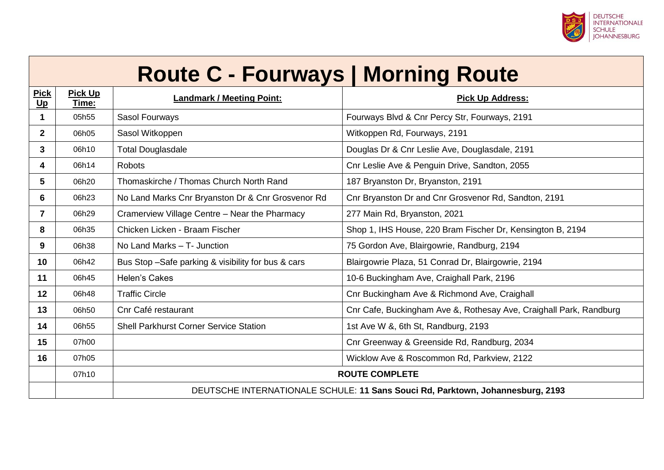

# **Route C - Fourways | Morning Route**

| <b>Pick</b><br><u>Up</u> | <b>Pick Up</b><br><u>Time:</u> | <b>Landmark / Meeting Point:</b>                                               | <b>Pick Up Address:</b>                                            |
|--------------------------|--------------------------------|--------------------------------------------------------------------------------|--------------------------------------------------------------------|
| 1                        | 05h55                          | Sasol Fourways                                                                 | Fourways Blvd & Cnr Percy Str, Fourways, 2191                      |
| $\mathbf{2}$             | 06h05                          | Sasol Witkoppen                                                                | Witkoppen Rd, Fourways, 2191                                       |
| $3\phantom{a}$           | 06h10                          | <b>Total Douglasdale</b>                                                       | Douglas Dr & Cnr Leslie Ave, Douglasdale, 2191                     |
| 4                        | 06h14                          | <b>Robots</b>                                                                  | Cnr Leslie Ave & Penguin Drive, Sandton, 2055                      |
| 5                        | 06h20                          | Thomaskirche / Thomas Church North Rand                                        | 187 Bryanston Dr, Bryanston, 2191                                  |
| 6                        | 06h23                          | No Land Marks Cnr Bryanston Dr & Cnr Grosvenor Rd                              | Cnr Bryanston Dr and Cnr Grosvenor Rd, Sandton, 2191               |
| 7                        | 06h29                          | Cramerview Village Centre - Near the Pharmacy                                  | 277 Main Rd, Bryanston, 2021                                       |
| 8                        | 06h35                          | Chicken Licken - Braam Fischer                                                 | Shop 1, IHS House, 220 Bram Fischer Dr, Kensington B, 2194         |
| 9                        | 06h38                          | No Land Marks - T- Junction                                                    | 75 Gordon Ave, Blairgowrie, Randburg, 2194                         |
| 10                       | 06h42                          | Bus Stop -Safe parking & visibility for bus & cars                             | Blairgowrie Plaza, 51 Conrad Dr, Blairgowrie, 2194                 |
| 11                       | 06h45                          | Helen's Cakes                                                                  | 10-6 Buckingham Ave, Craighall Park, 2196                          |
| 12                       | 06h48                          | <b>Traffic Circle</b>                                                          | Cnr Buckingham Ave & Richmond Ave, Craighall                       |
| 13                       | 06h50                          | Cnr Café restaurant                                                            | Cnr Cafe, Buckingham Ave &, Rothesay Ave, Craighall Park, Randburg |
| 14                       | 06h55                          | <b>Shell Parkhurst Corner Service Station</b>                                  | 1st Ave W &, 6th St, Randburg, 2193                                |
| 15                       | 07h00                          |                                                                                | Cnr Greenway & Greenside Rd, Randburg, 2034                        |
| 16                       | 07h05                          |                                                                                | Wicklow Ave & Roscommon Rd, Parkview, 2122                         |
|                          | 07h10                          |                                                                                | <b>ROUTE COMPLETE</b>                                              |
|                          |                                | DEUTSCHE INTERNATIONALE SCHULE: 11 Sans Souci Rd, Parktown, Johannesburg, 2193 |                                                                    |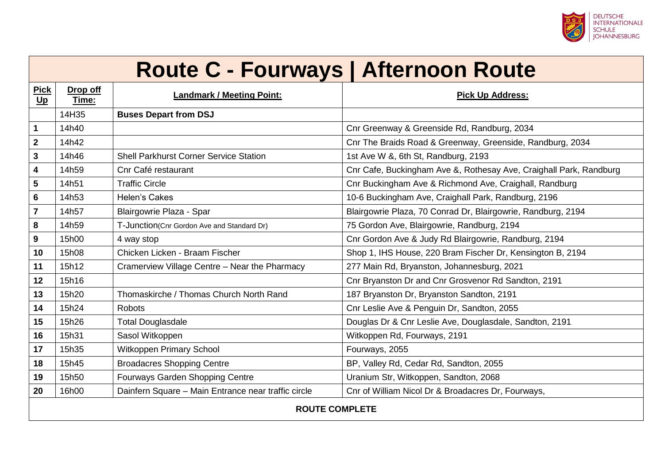

### **Route C - Fourways | Afternoon Route**

| <b>Pick</b><br>$u$ | Drop off<br>Time:     | <b>Landmark / Meeting Point:</b>                    | <b>Pick Up Address:</b>                                            |  |
|--------------------|-----------------------|-----------------------------------------------------|--------------------------------------------------------------------|--|
|                    | 14H35                 | <b>Buses Depart from DSJ</b>                        |                                                                    |  |
| $\mathbf 1$        | 14h40                 |                                                     | Cnr Greenway & Greenside Rd, Randburg, 2034                        |  |
| $\boldsymbol{2}$   | 14h42                 |                                                     | Cnr The Braids Road & Greenway, Greenside, Randburg, 2034          |  |
| 3                  | 14h46                 | <b>Shell Parkhurst Corner Service Station</b>       | 1st Ave W &, 6th St, Randburg, 2193                                |  |
| 4                  | 14h59                 | Cnr Café restaurant                                 | Cnr Cafe, Buckingham Ave &, Rothesay Ave, Craighall Park, Randburg |  |
| 5                  | 14h51                 | <b>Traffic Circle</b>                               | Cnr Buckingham Ave & Richmond Ave, Craighall, Randburg             |  |
| 6                  | 14h53                 | Helen's Cakes                                       | 10-6 Buckingham Ave, Craighall Park, Randburg, 2196                |  |
| $\overline{7}$     | 14h57                 | Blairgowrie Plaza - Spar                            | Blairgowrie Plaza, 70 Conrad Dr, Blairgowrie, Randburg, 2194       |  |
| 8                  | 14h59                 | T-Junction(Cnr Gordon Ave and Standard Dr)          | 75 Gordon Ave, Blairgowrie, Randburg, 2194                         |  |
| 9                  | 15h00                 | 4 way stop                                          | Cnr Gordon Ave & Judy Rd Blairgowrie, Randburg, 2194               |  |
| 10                 | 15h08                 | Chicken Licken - Braam Fischer                      | Shop 1, IHS House, 220 Bram Fischer Dr, Kensington B, 2194         |  |
| 11                 | 15h12                 | Cramerview Village Centre - Near the Pharmacy       | 277 Main Rd, Bryanston, Johannesburg, 2021                         |  |
| 12                 | 15h16                 |                                                     | Cnr Bryanston Dr and Cnr Grosvenor Rd Sandton, 2191                |  |
| 13                 | 15h20                 | Thomaskirche / Thomas Church North Rand             | 187 Bryanston Dr, Bryanston Sandton, 2191                          |  |
| 14                 | 15h24                 | Robots                                              | Cnr Leslie Ave & Penguin Dr, Sandton, 2055                         |  |
| 15                 | 15h26                 | <b>Total Douglasdale</b>                            | Douglas Dr & Cnr Leslie Ave, Douglasdale, Sandton, 2191            |  |
| 16                 | 15h31                 | Sasol Witkoppen                                     | Witkoppen Rd, Fourways, 2191                                       |  |
| 17                 | 15h35                 | Witkoppen Primary School                            | Fourways, 2055                                                     |  |
| 18                 | 15h45                 | <b>Broadacres Shopping Centre</b>                   | BP, Valley Rd, Cedar Rd, Sandton, 2055                             |  |
| 19                 | 15h50                 | Fourways Garden Shopping Centre                     | Uranium Str, Witkoppen, Sandton, 2068                              |  |
| 20                 | 16h00                 | Dainfern Square - Main Entrance near traffic circle | Cnr of William Nicol Dr & Broadacres Dr, Fourways,                 |  |
|                    | <b>ROUTE COMPLETE</b> |                                                     |                                                                    |  |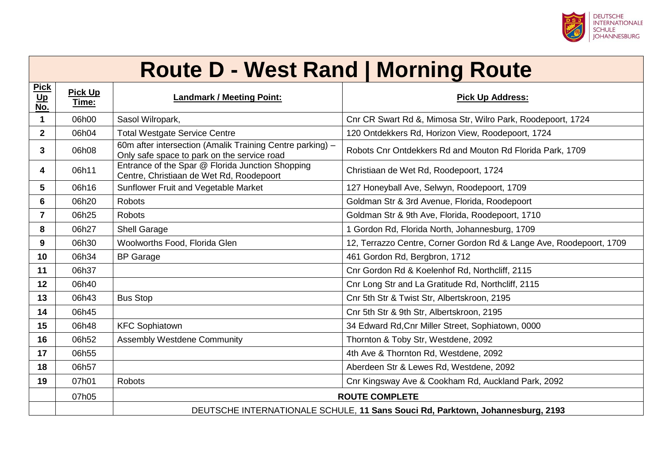

#### **Route D - West Rand | Morning Route**

| <u>Pick</u><br>Up<br>No. | <b>Pick Up</b><br>Time: | <b>Landmark / Meeting Point:</b>                                                                         | <b>Pick Up Address:</b>                                             |
|--------------------------|-------------------------|----------------------------------------------------------------------------------------------------------|---------------------------------------------------------------------|
| 1                        | 06h00                   | Sasol Wilropark,                                                                                         | Cnr CR Swart Rd &, Mimosa Str, Wilro Park, Roodepoort, 1724         |
| $\overline{2}$           | 06h04                   | <b>Total Westgate Service Centre</b>                                                                     | 120 Ontdekkers Rd, Horizon View, Roodepoort, 1724                   |
| 3                        | 06h08                   | 60m after intersection (Amalik Training Centre parking) -<br>Only safe space to park on the service road | Robots Cnr Ontdekkers Rd and Mouton Rd Florida Park, 1709           |
| 4                        | 06h11                   | Entrance of the Spar @ Florida Junction Shopping<br>Centre, Christiaan de Wet Rd, Roodepoort             | Christiaan de Wet Rd, Roodepoort, 1724                              |
| 5                        | 06h16                   | Sunflower Fruit and Vegetable Market                                                                     | 127 Honeyball Ave, Selwyn, Roodepoort, 1709                         |
| 6                        | 06h20                   | <b>Robots</b>                                                                                            | Goldman Str & 3rd Avenue, Florida, Roodepoort                       |
| $\overline{7}$           | 06h25                   | <b>Robots</b>                                                                                            | Goldman Str & 9th Ave, Florida, Roodepoort, 1710                    |
| 8                        | 06h27                   | <b>Shell Garage</b>                                                                                      | 1 Gordon Rd, Florida North, Johannesburg, 1709                      |
| 9                        | 06h30                   | Woolworths Food, Florida Glen                                                                            | 12, Terrazzo Centre, Corner Gordon Rd & Lange Ave, Roodepoort, 1709 |
| 10                       | 06h34                   | <b>BP</b> Garage                                                                                         | 461 Gordon Rd, Bergbron, 1712                                       |
| 11                       | 06h37                   |                                                                                                          | Cnr Gordon Rd & Koelenhof Rd, Northcliff, 2115                      |
| 12                       | 06h40                   |                                                                                                          | Cnr Long Str and La Gratitude Rd, Northcliff, 2115                  |
| 13                       | 06h43                   | <b>Bus Stop</b>                                                                                          | Cnr 5th Str & Twist Str, Albertskroon, 2195                         |
| 14                       | 06h45                   |                                                                                                          | Cnr 5th Str & 9th Str, Albertskroon, 2195                           |
| 15                       | 06h48                   | <b>KFC Sophiatown</b>                                                                                    | 34 Edward Rd, Cnr Miller Street, Sophiatown, 0000                   |
| 16                       | 06h52                   | <b>Assembly Westdene Community</b>                                                                       | Thornton & Toby Str, Westdene, 2092                                 |
| 17                       | 06h55                   |                                                                                                          | 4th Ave & Thornton Rd, Westdene, 2092                               |
| 18                       | 06h57                   |                                                                                                          | Aberdeen Str & Lewes Rd, Westdene, 2092                             |
| 19                       | 07h01                   | <b>Robots</b>                                                                                            | Cnr Kingsway Ave & Cookham Rd, Auckland Park, 2092                  |
|                          | 07h05                   |                                                                                                          | <b>ROUTE COMPLETE</b>                                               |
|                          |                         | DEUTSCHE INTERNATIONALE SCHULE, 11 Sans Souci Rd, Parktown, Johannesburg, 2193                           |                                                                     |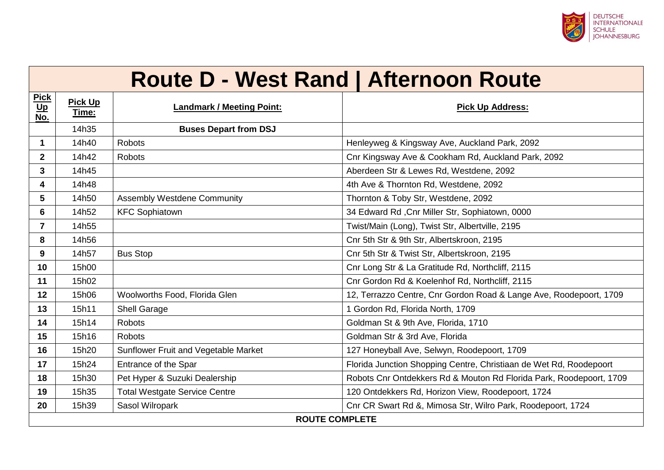

|                           | <b>Route D - West Rand   Afternoon Route</b> |                                      |                                                                     |  |
|---------------------------|----------------------------------------------|--------------------------------------|---------------------------------------------------------------------|--|
| <b>Pick</b><br>$u$<br>No. | <b>Pick Up</b><br>Time:                      | <b>Landmark / Meeting Point:</b>     | <b>Pick Up Address:</b>                                             |  |
|                           | 14h35                                        | <b>Buses Depart from DSJ</b>         |                                                                     |  |
| $\blacktriangleleft$      | 14h40                                        | <b>Robots</b>                        | Henleyweg & Kingsway Ave, Auckland Park, 2092                       |  |
| $\mathbf{2}$              | 14h42                                        | <b>Robots</b>                        | Cnr Kingsway Ave & Cookham Rd, Auckland Park, 2092                  |  |
| $\mathbf{3}$              | 14h45                                        |                                      | Aberdeen Str & Lewes Rd, Westdene, 2092                             |  |
| 4                         | 14h48                                        |                                      | 4th Ave & Thornton Rd, Westdene, 2092                               |  |
| $5\phantom{.0}$           | 14h50                                        | <b>Assembly Westdene Community</b>   | Thornton & Toby Str, Westdene, 2092                                 |  |
| 6                         | 14h52                                        | <b>KFC Sophiatown</b>                | 34 Edward Rd, Cnr Miller Str, Sophiatown, 0000                      |  |
| $\overline{7}$            | 14h55                                        |                                      | Twist/Main (Long), Twist Str, Albertville, 2195                     |  |
| 8                         | 14h56                                        |                                      | Cnr 5th Str & 9th Str, Albertskroon, 2195                           |  |
| 9                         | 14h57                                        | <b>Bus Stop</b>                      | Cnr 5th Str & Twist Str, Albertskroon, 2195                         |  |
| 10                        | 15h00                                        |                                      | Cnr Long Str & La Gratitude Rd, Northcliff, 2115                    |  |
| 11                        | 15h02                                        |                                      | Cnr Gordon Rd & Koelenhof Rd, Northcliff, 2115                      |  |
| 12                        | 15h06                                        | Woolworths Food, Florida Glen        | 12, Terrazzo Centre, Cnr Gordon Road & Lange Ave, Roodepoort, 1709  |  |
| 13                        | 15h11                                        | <b>Shell Garage</b>                  | 1 Gordon Rd, Florida North, 1709                                    |  |
| 14                        | 15h14                                        | <b>Robots</b>                        | Goldman St & 9th Ave, Florida, 1710                                 |  |
| 15                        | 15h16                                        | <b>Robots</b>                        | Goldman Str & 3rd Ave, Florida                                      |  |
| 16                        | 15h20                                        | Sunflower Fruit and Vegetable Market | 127 Honeyball Ave, Selwyn, Roodepoort, 1709                         |  |
| 17                        | 15h24                                        | Entrance of the Spar                 | Florida Junction Shopping Centre, Christiaan de Wet Rd, Roodepoort  |  |
| 18                        | 15h30                                        | Pet Hyper & Suzuki Dealership        | Robots Cnr Ontdekkers Rd & Mouton Rd Florida Park, Roodepoort, 1709 |  |
| 19                        | 15h35                                        | <b>Total Westgate Service Centre</b> | 120 Ontdekkers Rd, Horizon View, Roodepoort, 1724                   |  |
| 20                        | 15h39                                        | Sasol Wilropark                      | Cnr CR Swart Rd &, Mimosa Str, Wilro Park, Roodepoort, 1724         |  |
|                           | <b>ROUTE COMPLETE</b>                        |                                      |                                                                     |  |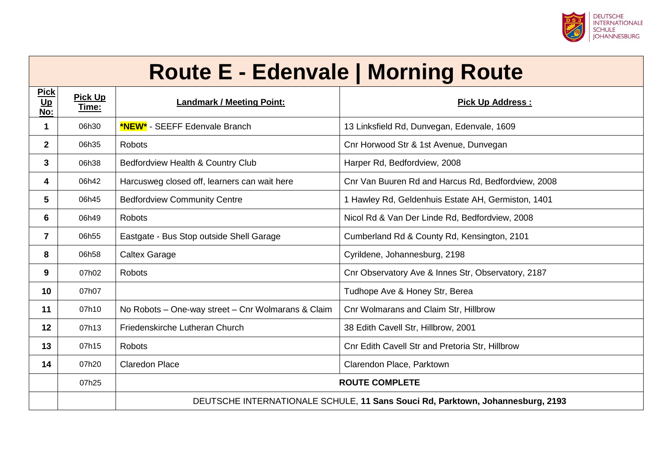

# **Route E - Edenvale | Morning Route**

| <b>Pick</b><br>$u$<br>No: | <b>Pick Up</b><br>Time: | <b>Landmark / Meeting Point:</b>                                               | <b>Pick Up Address:</b>                            |
|---------------------------|-------------------------|--------------------------------------------------------------------------------|----------------------------------------------------|
| 1                         | 06h30                   | <b>*NEW*</b> - SEEFF Edenvale Branch                                           | 13 Linksfield Rd, Dunvegan, Edenvale, 1609         |
| $\mathbf{2}$              | 06h35                   | Robots                                                                         | Cnr Horwood Str & 1st Avenue, Dunvegan             |
| $3\phantom{a}$            | 06h38                   | Bedfordview Health & Country Club                                              | Harper Rd, Bedfordview, 2008                       |
| 4                         | 06h42                   | Harcusweg closed off, learners can wait here                                   | Cnr Van Buuren Rd and Harcus Rd, Bedfordview, 2008 |
| 5                         | 06h45                   | <b>Bedfordview Community Centre</b>                                            | 1 Hawley Rd, Geldenhuis Estate AH, Germiston, 1401 |
| 6                         | 06h49                   | Robots                                                                         | Nicol Rd & Van Der Linde Rd, Bedfordview, 2008     |
| $\overline{7}$            | 06h55                   | Eastgate - Bus Stop outside Shell Garage                                       | Cumberland Rd & County Rd, Kensington, 2101        |
| 8                         | 06h58                   | <b>Caltex Garage</b>                                                           | Cyrildene, Johannesburg, 2198                      |
| 9                         | 07h02                   | <b>Robots</b>                                                                  | Cnr Observatory Ave & Innes Str, Observatory, 2187 |
| 10                        | 07h07                   |                                                                                | Tudhope Ave & Honey Str, Berea                     |
| 11                        | 07h10                   | No Robots - One-way street - Cnr Wolmarans & Claim                             | Cnr Wolmarans and Claim Str, Hillbrow              |
| 12                        | 07h13                   | Friedenskirche Lutheran Church                                                 | 38 Edith Cavell Str, Hillbrow, 2001                |
| 13                        | 07h15                   | Robots                                                                         | Cnr Edith Cavell Str and Pretoria Str, Hillbrow    |
| 14                        | 07h20                   | <b>Claredon Place</b>                                                          | Clarendon Place, Parktown                          |
|                           | 07h25                   | <b>ROUTE COMPLETE</b>                                                          |                                                    |
|                           |                         | DEUTSCHE INTERNATIONALE SCHULE, 11 Sans Souci Rd, Parktown, Johannesburg, 2193 |                                                    |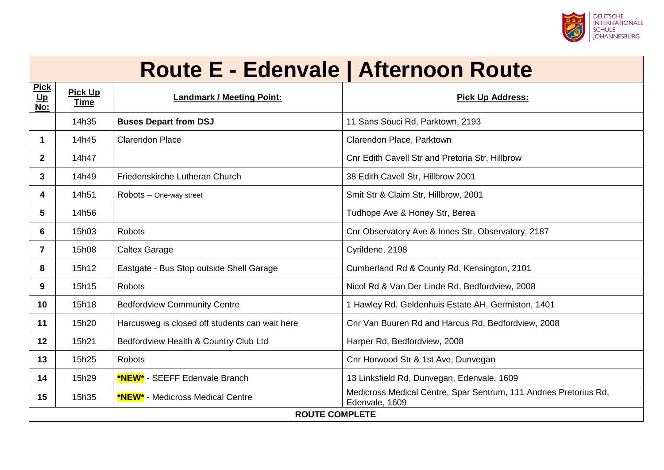

### **Route E - Edenvale | Afternoon Route**

| <b>Pick</b><br>$u$<br>No: | <b>Pick Up</b><br>Time | <b>Landmark / Meeting Point:</b>               | <b>Pick Up Address:</b>                                                             |  |  |
|---------------------------|------------------------|------------------------------------------------|-------------------------------------------------------------------------------------|--|--|
|                           | 14h35                  | <b>Buses Depart from DSJ</b>                   | 11 Sans Souci Rd, Parktown, 2193                                                    |  |  |
| 1                         | 14h45                  | <b>Clarendon Place</b>                         | Clarendon Place, Parktown                                                           |  |  |
| $\mathbf{2}$              | 14h47                  |                                                | Cnr Edith Cavell Str and Pretoria Str, Hillbrow                                     |  |  |
| 3                         | 14h49                  | Friedenskirche Lutheran Church                 | 38 Edith Cavell Str, Hillbrow 2001                                                  |  |  |
| 4                         | 14h51                  | Robots - One-way street                        | Smit Str & Claim Str, Hillbrow, 2001                                                |  |  |
| 5                         | 14h56                  |                                                | Tudhope Ave & Honey Str, Berea                                                      |  |  |
| 6                         | 15h03                  | <b>Robots</b>                                  | Cnr Observatory Ave & Innes Str, Observatory, 2187                                  |  |  |
| 7                         | 15h08                  | <b>Caltex Garage</b>                           | Cyrildene, 2198                                                                     |  |  |
| 8                         | 15h12                  | Eastgate - Bus Stop outside Shell Garage       | Cumberland Rd & County Rd, Kensington, 2101                                         |  |  |
| 9                         | 15h15                  | <b>Robots</b>                                  | Nicol Rd & Van Der Linde Rd, Bedfordview, 2008                                      |  |  |
| 10                        | 15h18                  | <b>Bedfordview Community Centre</b>            | 1 Hawley Rd, Geldenhuis Estate AH, Germiston, 1401                                  |  |  |
| 11                        | 15h20                  | Harcusweg is closed off students can wait here | Cnr Van Buuren Rd and Harcus Rd, Bedfordview, 2008                                  |  |  |
| 12                        | 15h21                  | Bedfordview Health & Country Club Ltd          | Harper Rd, Bedfordview, 2008                                                        |  |  |
| 13                        | 15h25                  | <b>Robots</b>                                  | Cnr Horwood Str & 1st Ave, Dunvegan                                                 |  |  |
| 14                        | 15h29                  | <b>*NEW*</b> - SEEFF Edenvale Branch           | 13 Linksfield Rd, Dunvegan, Edenvale, 1609                                          |  |  |
| 15                        | 15h35                  | <b>*NEW*</b> - Medicross Medical Centre        | Medicross Medical Centre, Spar Sentrum, 111 Andries Pretorius Rd,<br>Edenvale, 1609 |  |  |
|                           | <b>ROUTE COMPLETE</b>  |                                                |                                                                                     |  |  |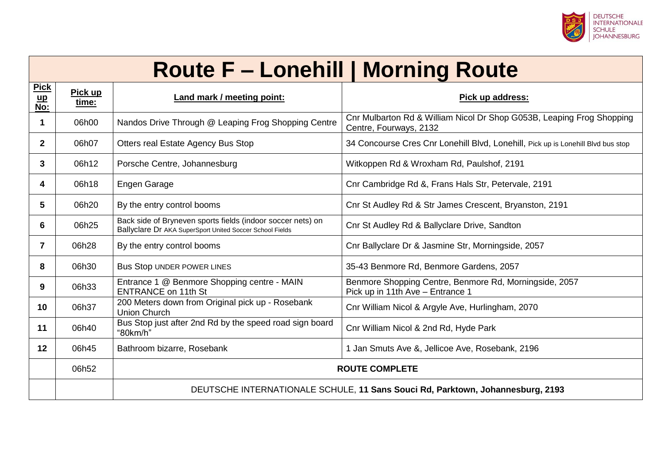

# **Route F – Lonehill | Morning Route**

| <b>Pick</b><br>$\mathbf{u}$<br>$\overline{\text{No}}$ : | Pick up<br>time: | Land mark / meeting point:                                                                                              | Pick up address:                                                                                |
|---------------------------------------------------------|------------------|-------------------------------------------------------------------------------------------------------------------------|-------------------------------------------------------------------------------------------------|
|                                                         | 06h00            | Nandos Drive Through @ Leaping Frog Shopping Centre                                                                     | Cnr Mulbarton Rd & William Nicol Dr Shop G053B, Leaping Frog Shopping<br>Centre, Fourways, 2132 |
| $\mathbf{2}$                                            | 06h07            | Otters real Estate Agency Bus Stop                                                                                      | 34 Concourse Cres Cnr Lonehill Blvd, Lonehill, Pick up is Lonehill Blvd bus stop                |
| 3                                                       | 06h12            | Porsche Centre, Johannesburg                                                                                            | Witkoppen Rd & Wroxham Rd, Paulshof, 2191                                                       |
| 4                                                       | 06h18            | Engen Garage                                                                                                            | Cnr Cambridge Rd &, Frans Hals Str, Petervale, 2191                                             |
| 5                                                       | 06h20            | By the entry control booms                                                                                              | Cnr St Audley Rd & Str James Crescent, Bryanston, 2191                                          |
| 6                                                       | 06h25            | Back side of Bryneven sports fields (indoor soccer nets) on<br>Ballyclare Dr AKA SuperSport United Soccer School Fields | Cnr St Audley Rd & Ballyclare Drive, Sandton                                                    |
| $\mathbf{7}$                                            | 06h28            | By the entry control booms                                                                                              | Cnr Ballyclare Dr & Jasmine Str, Morningside, 2057                                              |
| 8                                                       | 06h30            | <b>Bus Stop UNDER POWER LINES</b>                                                                                       | 35-43 Benmore Rd, Benmore Gardens, 2057                                                         |
| 9                                                       | 06h33            | Entrance 1 @ Benmore Shopping centre - MAIN<br><b>ENTRANCE on 11th St</b>                                               | Benmore Shopping Centre, Benmore Rd, Morningside, 2057<br>Pick up in 11th Ave - Entrance 1      |
| 10                                                      | 06h37            | 200 Meters down from Original pick up - Rosebank<br><b>Union Church</b>                                                 | Cnr William Nicol & Argyle Ave, Hurlingham, 2070                                                |
| 11                                                      | 06h40            | Bus Stop just after 2nd Rd by the speed road sign board<br>"80km/h"                                                     | Cnr William Nicol & 2nd Rd, Hyde Park                                                           |
| $12 \overline{ }$                                       | 06h45            | Bathroom bizarre, Rosebank                                                                                              | 1 Jan Smuts Ave &, Jellicoe Ave, Rosebank, 2196                                                 |
|                                                         | 06h52            |                                                                                                                         | <b>ROUTE COMPLETE</b>                                                                           |
|                                                         |                  | DEUTSCHE INTERNATIONALE SCHULE, 11 Sans Souci Rd, Parktown, Johannesburg, 2193                                          |                                                                                                 |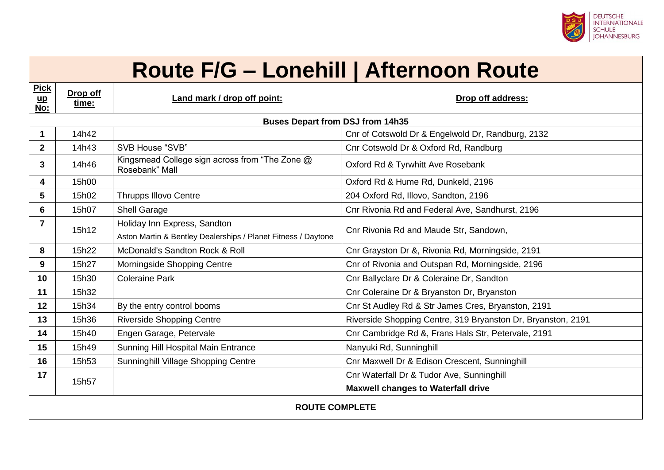

# **Route F/G – Lonehill | Afternoon Route**

| <b>Pick</b><br>$\mathbf{u}\mathbf{p}$<br>No: | Drop off<br>time:                       | Land mark / drop off point:                                      | Drop off address:                                            |  |  |
|----------------------------------------------|-----------------------------------------|------------------------------------------------------------------|--------------------------------------------------------------|--|--|
|                                              | <b>Buses Depart from DSJ from 14h35</b> |                                                                  |                                                              |  |  |
| 1                                            | 14h42                                   |                                                                  | Cnr of Cotswold Dr & Engelwold Dr, Randburg, 2132            |  |  |
| $\mathbf{2}$                                 | 14h43                                   | SVB House "SVB"                                                  | Cnr Cotswold Dr & Oxford Rd, Randburg                        |  |  |
| 3                                            | 14h46                                   | Kingsmead College sign across from "The Zone @<br>Rosebank" Mall | Oxford Rd & Tyrwhitt Ave Rosebank                            |  |  |
| 4                                            | 15h00                                   |                                                                  | Oxford Rd & Hume Rd, Dunkeld, 2196                           |  |  |
| 5                                            | 15h02                                   | <b>Thrupps Illovo Centre</b>                                     | 204 Oxford Rd, Illovo, Sandton, 2196                         |  |  |
| 6                                            | 15h07                                   | Shell Garage                                                     | Cnr Rivonia Rd and Federal Ave, Sandhurst, 2196              |  |  |
| $\overline{7}$                               | 15h12                                   | Holiday Inn Express, Sandton                                     | Cnr Rivonia Rd and Maude Str, Sandown,                       |  |  |
|                                              |                                         | Aston Martin & Bentley Dealerships / Planet Fitness / Daytone    |                                                              |  |  |
| 8                                            | 15h22                                   | McDonald's Sandton Rock & Roll                                   | Cnr Grayston Dr &, Rivonia Rd, Morningside, 2191             |  |  |
| 9                                            | 15h27                                   | Morningside Shopping Centre                                      | Cnr of Rivonia and Outspan Rd, Morningside, 2196             |  |  |
| 10                                           | 15h30                                   | <b>Coleraine Park</b>                                            | Cnr Ballyclare Dr & Coleraine Dr, Sandton                    |  |  |
| 11                                           | 15h32                                   |                                                                  | Cnr Coleraine Dr & Bryanston Dr, Bryanston                   |  |  |
| 12 <sup>2</sup>                              | 15h34                                   | By the entry control booms                                       | Cnr St Audley Rd & Str James Cres, Bryanston, 2191           |  |  |
| 13                                           | 15h36                                   | <b>Riverside Shopping Centre</b>                                 | Riverside Shopping Centre, 319 Bryanston Dr, Bryanston, 2191 |  |  |
| 14                                           | 15h40                                   | Engen Garage, Petervale                                          | Cnr Cambridge Rd &, Frans Hals Str, Petervale, 2191          |  |  |
| 15                                           | 15h49                                   | Sunning Hill Hospital Main Entrance                              | Nanyuki Rd, Sunninghill                                      |  |  |
| 16                                           | 15h53                                   | Sunninghill Village Shopping Centre                              | Cnr Maxwell Dr & Edison Crescent, Sunninghill                |  |  |
| 17                                           |                                         |                                                                  | Cnr Waterfall Dr & Tudor Ave, Sunninghill                    |  |  |
|                                              | 15h57                                   |                                                                  | <b>Maxwell changes to Waterfall drive</b>                    |  |  |
| <b>ROUTE COMPLETE</b>                        |                                         |                                                                  |                                                              |  |  |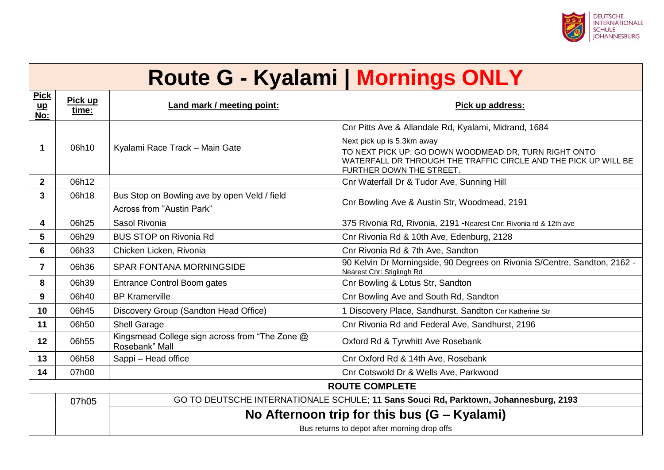

|                                    | <b>Route G - Kyalami   Mornings ONLY</b> |                                                                                      |                                                                                                                                                                                                                                            |  |
|------------------------------------|------------------------------------------|--------------------------------------------------------------------------------------|--------------------------------------------------------------------------------------------------------------------------------------------------------------------------------------------------------------------------------------------|--|
| <b>Pick</b><br>$\mathbf{u}$<br>No: | Pick up<br>time:                         | Land mark / meeting point:                                                           | Pick up address:                                                                                                                                                                                                                           |  |
| -1                                 | 06h10                                    | Kyalami Race Track - Main Gate                                                       | Cnr Pitts Ave & Allandale Rd, Kyalami, Midrand, 1684<br>Next pick up is 5.3km away<br>TO NEXT PICK UP: GO DOWN WOODMEAD DR, TURN RIGHT ONTO<br>WATERFALL DR THROUGH THE TRAFFIC CIRCLE AND THE PICK UP WILL BE<br>FURTHER DOWN THE STREET. |  |
| $\mathbf{2}$                       | 06h12                                    |                                                                                      | Cnr Waterfall Dr & Tudor Ave, Sunning Hill                                                                                                                                                                                                 |  |
| $\mathbf{3}$                       | 06h18                                    | Bus Stop on Bowling ave by open Veld / field<br><b>Across from "Austin Park"</b>     | Cnr Bowling Ave & Austin Str, Woodmead, 2191                                                                                                                                                                                               |  |
| 4                                  | 06h25                                    | Sasol Rivonia                                                                        | 375 Rivonia Rd, Rivonia, 2191 -Nearest Cnr: Rivonia rd & 12th ave                                                                                                                                                                          |  |
| 5                                  | 06h29                                    | <b>BUS STOP on Rivonia Rd</b>                                                        | Cnr Rivonia Rd & 10th Ave, Edenburg, 2128                                                                                                                                                                                                  |  |
| 6                                  | 06h33                                    | Chicken Licken, Rivonia                                                              | Cnr Rivonia Rd & 7th Ave, Sandton                                                                                                                                                                                                          |  |
| $\overline{7}$                     | 06h36                                    | SPAR FONTANA MORNINGSIDE                                                             | 90 Kelvin Dr Morningside, 90 Degrees on Rivonia S/Centre, Sandton, 2162 -<br>Nearest Cnr: Stiglingh Rd                                                                                                                                     |  |
| 8                                  | 06h39                                    | <b>Entrance Control Boom gates</b>                                                   | Cnr Bowling & Lotus Str, Sandton                                                                                                                                                                                                           |  |
| 9                                  | 06h40                                    | <b>BP Kramerville</b>                                                                | Cnr Bowling Ave and South Rd, Sandton                                                                                                                                                                                                      |  |
| 10                                 | 06h45                                    | Discovery Group (Sandton Head Office)                                                | 1 Discovery Place, Sandhurst, Sandton Cnr Katherine Str                                                                                                                                                                                    |  |
| 11                                 | 06h50                                    | <b>Shell Garage</b>                                                                  | Cnr Rivonia Rd and Federal Ave, Sandhurst, 2196                                                                                                                                                                                            |  |
| 12                                 | 06h55                                    | Kingsmead College sign across from "The Zone @<br>Rosebank" Mall                     | Oxford Rd & Tyrwhitt Ave Rosebank                                                                                                                                                                                                          |  |
| 13                                 | 06h58                                    | Sappi - Head office                                                                  | Cnr Oxford Rd & 14th Ave, Rosebank                                                                                                                                                                                                         |  |
| 14                                 | 07h00                                    |                                                                                      | Cnr Cotswold Dr & Wells Ave, Parkwood                                                                                                                                                                                                      |  |
|                                    |                                          |                                                                                      | <b>ROUTE COMPLETE</b>                                                                                                                                                                                                                      |  |
|                                    | 07h05                                    | GO TO DEUTSCHE INTERNATIONALE SCHULE; 11 Sans Souci Rd, Parktown, Johannesburg, 2193 |                                                                                                                                                                                                                                            |  |
|                                    |                                          |                                                                                      | No Afternoon trip for this bus $(G - Kyalam)$                                                                                                                                                                                              |  |
|                                    |                                          | Bus returns to depot after morning drop offs                                         |                                                                                                                                                                                                                                            |  |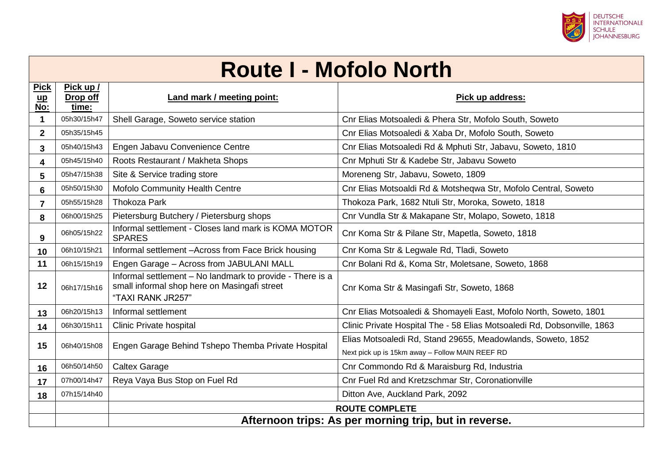

### **Route I - Mofolo North**

| <b>Pick</b><br>$\mathbf{u}$<br>No: | Pick up /<br>Drop off<br>time: | Land mark / meeting point:                                                                                                     | Pick up address:                                                        |  |
|------------------------------------|--------------------------------|--------------------------------------------------------------------------------------------------------------------------------|-------------------------------------------------------------------------|--|
| 1                                  | 05h30/15h47                    | Shell Garage, Soweto service station                                                                                           | Cnr Elias Motsoaledi & Phera Str, Mofolo South, Soweto                  |  |
| $\mathbf{2}$                       | 05h35/15h45                    |                                                                                                                                | Cnr Elias Motsoaledi & Xaba Dr, Mofolo South, Soweto                    |  |
| 3                                  | 05h40/15h43                    | Engen Jabavu Convenience Centre                                                                                                | Cnr Elias Motsoaledi Rd & Mphuti Str, Jabavu, Soweto, 1810              |  |
| 4                                  | 05h45/15h40                    | Roots Restaurant / Makheta Shops                                                                                               | Cnr Mphuti Str & Kadebe Str, Jabavu Soweto                              |  |
| 5                                  | 05h47/15h38                    | Site & Service trading store                                                                                                   | Moreneng Str, Jabavu, Soweto, 1809                                      |  |
| 6                                  | 05h50/15h30                    | Mofolo Community Health Centre                                                                                                 | Cnr Elias Motsoaldi Rd & Motsheqwa Str, Mofolo Central, Soweto          |  |
| $\overline{7}$                     | 05h55/15h28                    | <b>Thokoza Park</b>                                                                                                            | Thokoza Park, 1682 Ntuli Str, Moroka, Soweto, 1818                      |  |
| 8                                  | 06h00/15h25                    | Pietersburg Butchery / Pietersburg shops                                                                                       | Cnr Vundla Str & Makapane Str, Molapo, Soweto, 1818                     |  |
| 9                                  | 06h05/15h22                    | Informal settlement - Closes land mark is KOMA MOTOR<br><b>SPARES</b>                                                          | Cnr Koma Str & Pilane Str, Mapetla, Soweto, 1818                        |  |
| 10                                 | 06h10/15h21                    | Informal settlement - Across from Face Brick housing                                                                           | Cnr Koma Str & Legwale Rd, Tladi, Soweto                                |  |
| 11                                 | 06h15/15h19                    | Engen Garage - Across from JABULANI MALL                                                                                       | Cnr Bolani Rd &, Koma Str, Moletsane, Soweto, 1868                      |  |
| 12                                 | 06h17/15h16                    | Informal settlement - No landmark to provide - There is a<br>small informal shop here on Masingafi street<br>"TAXI RANK JR257" | Cnr Koma Str & Masingafi Str, Soweto, 1868                              |  |
| 13                                 | 06h20/15h13                    | Informal settlement                                                                                                            | Cnr Elias Motsoaledi & Shomayeli East, Mofolo North, Soweto, 1801       |  |
| 14                                 | 06h30/15h11                    | Clinic Private hospital                                                                                                        | Clinic Private Hospital The - 58 Elias Motsoaledi Rd, Dobsonville, 1863 |  |
| 15                                 | 06h40/15h08                    | Engen Garage Behind Tshepo Themba Private Hospital                                                                             | Elias Motsoaledi Rd, Stand 29655, Meadowlands, Soweto, 1852             |  |
|                                    |                                |                                                                                                                                | Next pick up is 15km away - Follow MAIN REEF RD                         |  |
| 16                                 | 06h50/14h50                    | <b>Caltex Garage</b>                                                                                                           | Cnr Commondo Rd & Maraisburg Rd, Industria                              |  |
| 17                                 | 07h00/14h47                    | Reya Vaya Bus Stop on Fuel Rd                                                                                                  | Cnr Fuel Rd and Kretzschmar Str, Coronationville                        |  |
| 18                                 | 07h15/14h40                    |                                                                                                                                | Ditton Ave, Auckland Park, 2092                                         |  |
|                                    |                                | <b>ROUTE COMPLETE</b>                                                                                                          |                                                                         |  |
|                                    |                                | Afternoon trips: As per morning trip, but in reverse.                                                                          |                                                                         |  |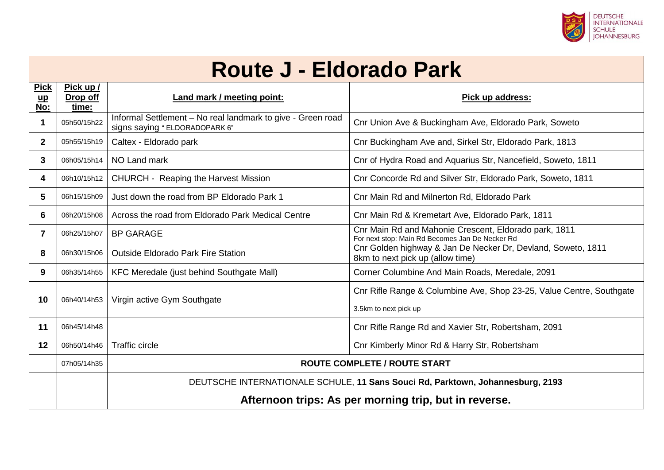

#### **Route J - Eldorado Park**

| <b>Pick</b><br>$\mathbf{u}$<br>No: | Pick up /<br>Drop off<br>time: | Land mark / meeting point:                                                                                            | Pick up address:                                                                                         |
|------------------------------------|--------------------------------|-----------------------------------------------------------------------------------------------------------------------|----------------------------------------------------------------------------------------------------------|
| 1                                  | 05h50/15h22                    | Informal Settlement - No real landmark to give - Green road<br>signs saying "ELDORADOPARK 6"                          | Cnr Union Ave & Buckingham Ave, Eldorado Park, Soweto                                                    |
| $\mathbf{2}$                       | 05h55/15h19                    | Caltex - Eldorado park                                                                                                | Cnr Buckingham Ave and, Sirkel Str, Eldorado Park, 1813                                                  |
| 3                                  | 06h05/15h14                    | NO Land mark                                                                                                          | Cnr of Hydra Road and Aquarius Str, Nancefield, Soweto, 1811                                             |
| 4                                  | 06h10/15h12                    | <b>CHURCH - Reaping the Harvest Mission</b>                                                                           | Cnr Concorde Rd and Silver Str, Eldorado Park, Soweto, 1811                                              |
| 5                                  | 06h15/15h09                    | Just down the road from BP Eldorado Park 1                                                                            | Cnr Main Rd and Milnerton Rd, Eldorado Park                                                              |
| 6                                  | 06h20/15h08                    | Across the road from Eldorado Park Medical Centre                                                                     | Cnr Main Rd & Kremetart Ave, Eldorado Park, 1811                                                         |
| $\mathbf{7}$                       | 06h25/15h07                    | <b>BP GARAGE</b>                                                                                                      | Cnr Main Rd and Mahonie Crescent, Eldorado park, 1811<br>For next stop: Main Rd Becomes Jan De Necker Rd |
| 8                                  | 06h30/15h06                    | Outside Eldorado Park Fire Station                                                                                    | Cnr Golden highway & Jan De Necker Dr, Devland, Soweto, 1811<br>8km to next pick up (allow time)         |
| 9                                  | 06h35/14h55                    | KFC Meredale (just behind Southgate Mall)                                                                             | Corner Columbine And Main Roads, Meredale, 2091                                                          |
| 10                                 | 06h40/14h53                    | Virgin active Gym Southgate                                                                                           | Cnr Rifle Range & Columbine Ave, Shop 23-25, Value Centre, Southgate<br>3.5km to next pick up            |
| 11                                 | 06h45/14h48                    |                                                                                                                       | Cnr Rifle Range Rd and Xavier Str, Robertsham, 2091                                                      |
| 12 <sup>°</sup>                    | 06h50/14h46                    | <b>Traffic circle</b>                                                                                                 | Cnr Kimberly Minor Rd & Harry Str, Robertsham                                                            |
|                                    | 07h05/14h35                    | <b>ROUTE COMPLETE / ROUTE START</b><br>DEUTSCHE INTERNATIONALE SCHULE, 11 Sans Souci Rd, Parktown, Johannesburg, 2193 |                                                                                                          |
|                                    |                                |                                                                                                                       |                                                                                                          |
|                                    |                                | Afternoon trips: As per morning trip, but in reverse.                                                                 |                                                                                                          |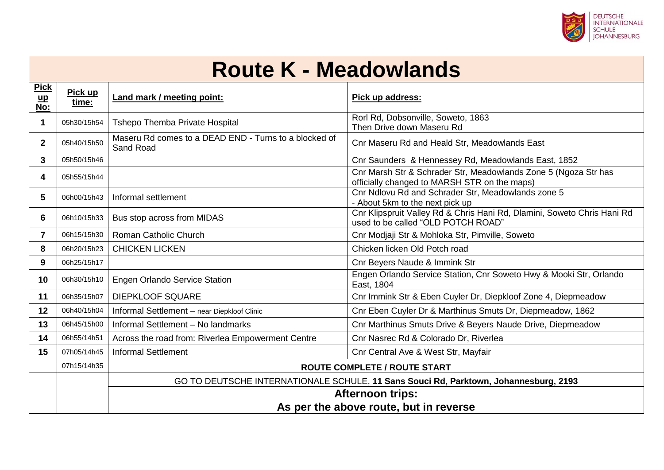

#### **Route K - Meadowlands**

| <b>Pick</b><br>$\mathbf{u}$<br>No: | Pick up<br>time:        | Land mark / meeting point:                                                           | Pick up address:                                                                                                |  |
|------------------------------------|-------------------------|--------------------------------------------------------------------------------------|-----------------------------------------------------------------------------------------------------------------|--|
| 1                                  | 05h30/15h54             | Tshepo Themba Private Hospital                                                       | Rorl Rd, Dobsonville, Soweto, 1863<br>Then Drive down Maseru Rd                                                 |  |
| $\mathbf{2}$                       | 05h40/15h50             | Maseru Rd comes to a DEAD END - Turns to a blocked of<br>Sand Road                   | Cnr Maseru Rd and Heald Str, Meadowlands East                                                                   |  |
| 3                                  | 05h50/15h46             |                                                                                      | Cnr Saunders & Hennessey Rd, Meadowlands East, 1852                                                             |  |
| 4                                  | 05h55/15h44             |                                                                                      | Cnr Marsh Str & Schrader Str, Meadowlands Zone 5 (Ngoza Str has<br>officially changed to MARSH STR on the maps) |  |
| 5                                  | 06h00/15h43             | Informal settlement                                                                  | Cnr Ndlovu Rd and Schrader Str, Meadowlands zone 5<br>- About 5km to the next pick up                           |  |
| 6                                  | 06h10/15h33             | Bus stop across from MIDAS                                                           | Cnr Klipspruit Valley Rd & Chris Hani Rd, Dlamini, Soweto Chris Hani Rd<br>used to be called "OLD POTCH ROAD"   |  |
| $\mathbf{7}$                       | 06h15/15h30             | Roman Catholic Church                                                                | Cnr Modjaji Str & Mohloka Str, Pimville, Soweto                                                                 |  |
| 8                                  | 06h20/15h23             | <b>CHICKEN LICKEN</b>                                                                | Chicken licken Old Potch road                                                                                   |  |
| 9                                  | 06h25/15h17             |                                                                                      | Cnr Beyers Naude & Immink Str                                                                                   |  |
| 10                                 | 06h30/15h10             | <b>Engen Orlando Service Station</b>                                                 | Engen Orlando Service Station, Cnr Soweto Hwy & Mooki Str, Orlando<br>East, 1804                                |  |
| 11                                 | 06h35/15h07             | <b>DIEPKLOOF SQUARE</b>                                                              | Cnr Immink Str & Eben Cuyler Dr, Diepkloof Zone 4, Diepmeadow                                                   |  |
| 12                                 | 06h40/15h04             | Informal Settlement - near Diepkloof Clinic                                          | Cnr Eben Cuyler Dr & Marthinus Smuts Dr, Diepmeadow, 1862                                                       |  |
| 13                                 | 06h45/15h00             | Informal Settlement - No landmarks                                                   | Cnr Marthinus Smuts Drive & Beyers Naude Drive, Diepmeadow                                                      |  |
| 14                                 | 06h55/14h51             | Across the road from: Riverlea Empowerment Centre                                    | Cnr Nasrec Rd & Colorado Dr, Riverlea                                                                           |  |
| 15                                 | 07h05/14h45             | <b>Informal Settlement</b>                                                           | Cnr Central Ave & West Str, Mayfair                                                                             |  |
|                                    | 07h15/14h35             | <b>ROUTE COMPLETE / ROUTE START</b>                                                  |                                                                                                                 |  |
|                                    |                         | GO TO DEUTSCHE INTERNATIONALE SCHULE, 11 Sans Souci Rd, Parktown, Johannesburg, 2193 |                                                                                                                 |  |
|                                    | <b>Afternoon trips:</b> |                                                                                      |                                                                                                                 |  |
|                                    |                         | As per the above route, but in reverse                                               |                                                                                                                 |  |